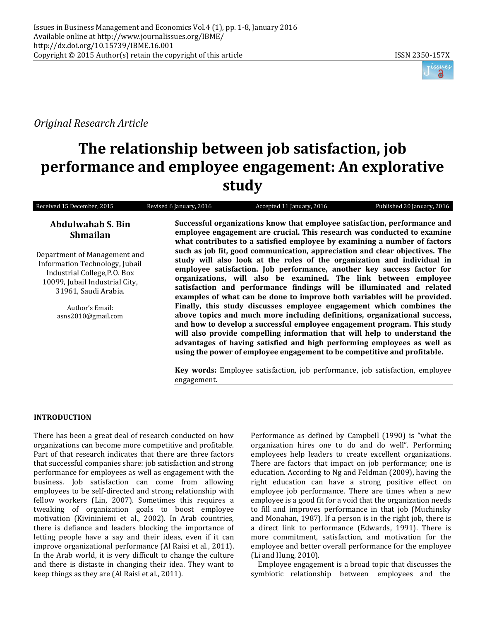

*Original Research Article*

# **The relationship between job satisfaction, job performance and employee engagement: An explorative study**

| Received 15 December, 2015                                                                                                                               | Revised 6 January, 2016                                                                                                                                                                                                           | Accepted 11 January, 2016                                                                                                                                                                                                                                                                                                                                                                                                                                        | Published 20 January, 2016 |
|----------------------------------------------------------------------------------------------------------------------------------------------------------|-----------------------------------------------------------------------------------------------------------------------------------------------------------------------------------------------------------------------------------|------------------------------------------------------------------------------------------------------------------------------------------------------------------------------------------------------------------------------------------------------------------------------------------------------------------------------------------------------------------------------------------------------------------------------------------------------------------|----------------------------|
| <b>Abdulwahab S. Bin</b><br><b>Shmailan</b>                                                                                                              | Successful organizations know that employee satisfaction, performance and<br>employee engagement are crucial. This research was conducted to examine<br>what contributes to a satisfied employee by examining a number of factors |                                                                                                                                                                                                                                                                                                                                                                                                                                                                  |                            |
| Department of Management and<br>Information Technology, Jubail<br>Industrial College, P.O. Box<br>10099, Jubail Industrial City,<br>31961, Saudi Arabia. |                                                                                                                                                                                                                                   | such as job fit, good communication, appreciation and clear objectives. The<br>study will also look at the roles of the organization and individual in<br>employee satisfaction. Job performance, another key success factor for<br>organizations, will also be examined. The link between employee<br>satisfaction and performance findings will be illuminated and related<br>examples of what can be done to improve both variables will be provided.         |                            |
| Author's Email:<br>asns2010@gmail.com                                                                                                                    |                                                                                                                                                                                                                                   | Finally, this study discusses employee engagement which combines the<br>above topics and much more including definitions, organizational success,<br>and how to develop a successful employee engagement program. This study<br>will also provide compelling information that will help to understand the<br>advantages of having satisfied and high performing employees as well as<br>using the power of employee engagement to be competitive and profitable. |                            |
|                                                                                                                                                          |                                                                                                                                                                                                                                   | Vor ruande. Employee estiefection, ich noufouncanos, ich sotisfection, smuleres,                                                                                                                                                                                                                                                                                                                                                                                 |                            |

**Key words:** Employee satisfaction, job performance, job satisfaction, employee engagement.

# **INTRODUCTION**

There has been a great deal of research conducted on how organizations can become more competitive and profitable. Part of that research indicates that there are three factors that successful companies share: job satisfaction and strong performance for employees as well as engagement with the business. Job satisfaction can come from allowing employees to be self-directed and strong relationship with fellow workers (Lin, 2007). Sometimes this requires a tweaking of organization goals to boost employee motivation (Kivininiemi et al., 2002). In Arab countries, there is defiance and leaders blocking the importance of letting people have a say and their ideas, even if it can improve organizational performance (Al Raisi et al., 2011). In the Arab world, it is very difficult to change the culture and there is distaste in changing their idea. They want to keep things as they are (Al Raisi et al., 2011).

Performance as defined by Campbell (1990) is "what the organization hires one to do and do well". Performing employees help leaders to create excellent organizations. There are factors that impact on job performance; one is education. According to Ng and Feldman (2009), having the right education can have a strong positive effect on employee job performance. There are times when a new employee is a good fit for a void that the organization needs to fill and improves performance in that job (Muchinsky and Monahan, 1987). If a person is in the right job, there is a direct link to performance (Edwards, 1991). There is more commitment, satisfaction, and motivation for the employee and better overall performance for the employee (Li and Hung, 2010).

Employee engagement is a broad topic that discusses the symbiotic relationship between employees and the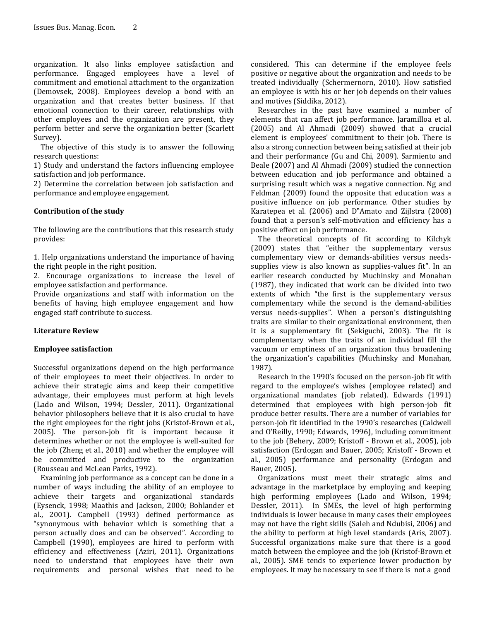organization. It also links employee satisfaction and performance. Engaged employees have a level of commitment and emotional attachment to the organization (Demovsek, 2008). Employees develop a bond with an organization and that creates better business. If that emotional connection to their career, relationships with other employees and the organization are present, they perform better and serve the organization better (Scarlett Survey).

The objective of this study is to answer the following research questions:

1) Study and understand the factors influencing employee satisfaction and job performance.

2) Determine the correlation between job satisfaction and performance and employee engagement.

## **Contribution of the study**

The following are the contributions that this research study provides:

1. Help organizations understand the importance of having the right people in the right position.

2. Encourage organizations to increase the level of employee satisfaction and performance.

Provide organizations and staff with information on the benefits of having high employee engagement and how engaged staff contribute to success.

#### **Literature Review**

#### **Employee satisfaction**

Successful organizations depend on the high performance of their employees to meet their objectives. In order to achieve their strategic aims and keep their competitive advantage, their employees must perform at high levels (Lado and Wilson, 1994; Dessler, 2011). Organizational behavior philosophers believe that it is also crucial to have the right employees for the right jobs (Kristof-Brown et al., 2005). The person-job fit is important because it determines whether or not the employee is well-suited for the job (Zheng et al., 2010) and whether the employee will be committed and productive to the organization (Rousseau and McLean Parks, 1992).

Examining job performance as a concept can be done in a number of ways including the ability of an employee to achieve their targets and organizational standards (Eysenck, 1998; Maathis and Jackson, 2000; Bohlander et al., 2001). Campbell (1993) defined performance as "synonymous with behavior which is something that a person actually does and can be observed". According to Campbell (1990), employees are hired to perform with efficiency and effectiveness (Aziri, 2011). Organizations need to understand that employees have their own requirements and personal wishes that need to be

considered. This can determine if the employee feels positive or negative about the organization and needs to be treated individually (Schermernorn, 2010). How satisfied an employee is with his or her job depends on their values and motives (Siddika, 2012).

Researches in the past have examined a number of elements that can affect job performance. Jaramilloa et al. (2005) and Al Ahmadi (2009) showed that a crucial element is employees' commitment to their job. There is also a strong connection between being satisfied at their job and their performance (Gu and Chi, 2009). Sarmiento and Beale (2007) and Al Ahmadi (2009) studied the connection between education and job performance and obtained a surprising result which was a negative connection. Ng and Feldman (2009) found the opposite that education was a positive influence on job performance. Other studies by Karatepea et al. (2006) and D"Amato and Zijlstra (2008) found that a person's self-motivation and efficiency has a positive effect on job performance.

The theoretical concepts of fit according to Kilchyk (2009) states that "either the supplementary versus complementary view or demands-abilities versus needssupplies view is also known as supplies-values fit". In an earlier research conducted by Muchinsky and Monahan (1987), they indicated that work can be divided into two extents of which "the first is the supplementary versus complementary while the second is the demand-abilities versus needs-supplies". When a person's distinguishing traits are similar to their organizational environment, then it is a supplementary fit (Sekiguchi, 2003). The fit is complementary when the traits of an individual fill the vacuum or emptiness of an organization thus broadening the organization's capabilities (Muchinsky and Monahan, 1987).

Research in the 1990's focused on the person-job fit with regard to the employee's wishes (employee related) and organizational mandates (job related). Edwards (1991) determined that employees with high person-job fit produce better results. There are a number of variables for person-job fit identified in the 1990's researches (Caldwell and O'Reilly, 1990; Edwards, 1996), including commitment to the job (Behery, 2009; Kristoff - Brown et al., 2005), job satisfaction (Erdogan and Bauer, 2005; Kristoff - Brown et al., 2005) performance and personality (Erdogan and Bauer, 2005).

Organizations must meet their strategic aims and advantage in the marketplace by employing and keeping high performing employees (Lado and Wilson, 1994; Dessler, 2011). In SMEs, the level of high performing individuals is lower because in many cases their employees may not have the right skills (Saleh and Ndubisi, 2006) and the ability to perform at high level standards (Aris, 2007). Successful organizations make sure that there is a good match between the employee and the job (Kristof-Brown et al., 2005). SME tends to experience lower production by employees. It may be necessary to see if there is not a good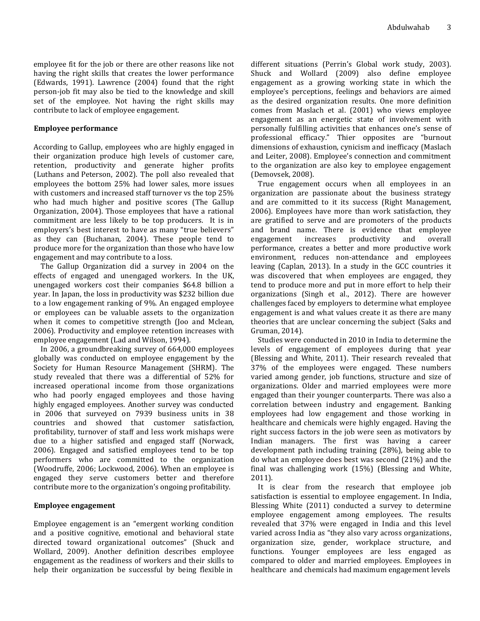employee fit for the job or there are other reasons like not having the right skills that creates the lower performance (Edwards, 1991). Lawrence (2004) found that the right person-job fit may also be tied to the knowledge and skill set of the employee. Not having the right skills may contribute to lack of employee engagement.

## **Employee performance**

According to Gallup, employees who are highly engaged in their organization produce high levels of customer care, retention, productivity and generate higher profits (Luthans and Peterson, 2002). The poll also revealed that employees the bottom 25% had lower sales, more issues with customers and increased staff turnover vs the top 25% who had much higher and positive scores (The Gallup Organization, 2004). Those employees that have a rational commitment are less likely to be top producers. It is in employers's best interest to have as many "true believers" as they can (Buchanan, 2004). These people tend to produce more for the organization than those who have low engagement and may contribute to a loss.

The Gallup Organization did a survey in 2004 on the effects of engaged and unengaged workers. In the UK, unengaged workers cost their companies \$64.8 billion a year. In Japan, the loss in productivity was \$232 billion due to a low engagement ranking of 9%. An engaged employee or employees can be valuable assets to the organization when it comes to competitive strength (Joo and Mclean, 2006). Productivity and employee retention increases with employee engagement (Lad and Wilson, 1994).

In 2006, a groundbreaking survey of 664,000 employees globally was conducted on employee engagement by the Society for Human Resource Management (SHRM). The study revealed that there was a differential of 52% for increased operational income from those organizations who had poorly engaged employees and those having highly engaged employees. Another survey was conducted in 2006 that surveyed on 7939 business units in 38 countries and showed that customer satisfaction, profitability, turnover of staff and less work mishaps were due to a higher satisfied and engaged staff (Norwack, 2006). Engaged and satisfied employees tend to be top performers who are committed to the organization (Woodruffe, 2006; Lockwood, 2006). When an employee is engaged they serve customers better and therefore contribute more to the organization's ongoing profitability.

# **Employee engagement**

Employee engagement is an "emergent working condition and a positive cognitive, emotional and behavioral state directed toward organizational outcomes" (Shuck and Wollard, 2009). Another definition describes employee engagement as the readiness of workers and their skills to help their organization be successful by being flexible in

different situations (Perrin's Global work study, 2003). Shuck and Wollard (2009) also define employee engagement as a growing working state in which the employee's perceptions, feelings and behaviors are aimed as the desired organization results. One more definition comes from Maslach et al. (2001) who views employee engagement as an energetic state of involvement with personally fulfilling activities that enhances one's sense of professional efficacy." Thier opposites are "burnout dimensions of exhaustion, cynicism and inefficacy (Maslach and Leiter, 2008). Employee's connection and commitment to the organization are also key to employee engagement (Demovsek, 2008).

True engagement occurs when all employees in an organization are passionate about the business strategy and are committed to it its success (Right Management, 2006). Employees have more than work satisfaction, they are gratified to serve and are promoters of the products and brand name. There is evidence that employee engagement increases productivity and overall performance, creates a better and more productive work environment, reduces non-attendance and employees leaving (Caplan, 2013). In a study in the GCC countries it was discovered that when employees are engaged, they tend to produce more and put in more effort to help their organizations (Singh et al., 2012). There are however challenges faced by employers to determine what employee engagement is and what values create it as there are many theories that are unclear concerning the subject (Saks and Gruman, 2014).

Studies were conducted in 2010 in India to determine the levels of engagement of employees during that year (Blessing and White, 2011). Their research revealed that 37% of the employees were engaged. These numbers varied among gender, job functions, structure and size of organizations. Older and married employees were more engaged than their younger counterparts. There was also a correlation between industry and engagement. Banking employees had low engagement and those working in healthcare and chemicals were highly engaged. Having the right success factors in the job were seen as motivators by Indian managers. The first was having a career development path including training (28%), being able to do what an employee does best was second (21%) and the final was challenging work (15%) (Blessing and White, 2011).

It is clear from the research that employee job satisfaction is essential to employee engagement. In India, Blessing White (2011) conducted a survey to determine employee engagement among employees. The results revealed that 37% were engaged in India and this level varied across India as "they also vary across organizations, organization size, gender, workplace structure, and functions. Younger employees are less engaged as compared to older and married employees. Employees in healthcare and chemicals had maximum engagement levels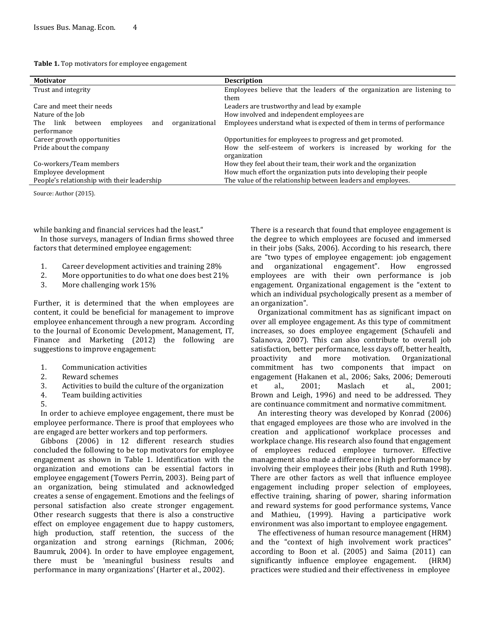| Table 1. Top motivators for employee engagement |  |
|-------------------------------------------------|--|
|-------------------------------------------------|--|

| <b>Motivator</b>                                             | <b>Description</b>                                                      |  |
|--------------------------------------------------------------|-------------------------------------------------------------------------|--|
| Trust and integrity                                          | Employees believe that the leaders of the organization are listening to |  |
|                                                              | them                                                                    |  |
| Care and meet their needs                                    | Leaders are trustworthy and lead by example                             |  |
| Nature of the Job                                            | How involved and independent employees are                              |  |
| link<br>organizational<br>between<br>The<br>employees<br>and | Employees understand what is expected of them in terms of performance   |  |
| performance                                                  |                                                                         |  |
| Career growth opportunities                                  | Opportunities for employees to progress and get promoted.               |  |
| Pride about the company                                      | How the self-esteem of workers is increased by working for the          |  |
|                                                              | organization                                                            |  |
| Co-workers/Team members                                      | How they feel about their team, their work and the organization         |  |
| Employee development                                         | How much effort the organization puts into developing their people      |  |
| People's relationship with their leadership                  | The value of the relationship between leaders and employees.            |  |

Source: Author (2015).

while banking and financial services had the least."

In those surveys, managers of Indian firms showed three factors that determined employee engagement:

- 1. Career development activities and training 28%
- 2. More opportunities to do what one does best 21%
- 3. More challenging work 15%

Further, it is determined that the when employees are content, it could be beneficial for management to improve employee enhancement through a new program. According to the Journal of Economic Development, Management, IT, Finance and Marketing (2012) the following are suggestions to improve engagement:

- 1. Communication activities
- 2. Reward schemes
- 3. Activities to build the culture of the organization
- 4. Team building activities
- 5.

In order to achieve employee engagement, there must be employee performance. There is proof that employees who are engaged are better workers and top performers.

Gibbons (2006) in 12 different research studies concluded the following to be top motivators for employee engagement as shown in Table 1. Identification with the organization and emotions can be essential factors in employee engagement (Towers Perrin, 2003). Being part of an organization, being stimulated and acknowledged creates a sense of engagement. Emotions and the feelings of personal satisfaction also create stronger engagement. Other research suggests that there is also a constructive effect on employee engagement due to happy customers, high production, staff retention, the success of the organization and strong earnings (Richman, 2006; Baumruk, 2004). In order to have employee engagement, there must be 'meaningful business results and performance in many organizations' (Harter et al., 2002).

There is a research that found that employee engagement is the degree to which employees are focused and immersed in their jobs (Saks, 2006). According to his research, there are "two types of employee engagement: job engagement and organizational engagement". How engrossed employees are with their own performance is job engagement. Organizational engagement is the "extent to which an individual psychologically present as a member of an organization".

Organizational commitment has as significant impact on over all employee engagement. As this type of commitment increases, so does employee engagement (Schaufeli and Salanova, 2007). This can also contribute to overall job satisfaction, better performance, less days off, better health, proactivity and more motivation. Organizational commitment has two components that impact on engagement (Hakanen et al., 2006; Saks, 2006; Demerouti et al., 2001; Maslach et al., 2001; Brown and Leigh, 1996) and need to be addressed. They are continuance commitment and normative commitment.

An interesting theory was developed by Konrad (2006) that engaged employees are those who are involved in the creation and applicationof workplace processes and workplace change. His research also found that engagement of employees reduced employee turnover. Effective management also made a difference in high performance by involving their employees their jobs (Ruth and Ruth 1998). There are other factors as well that influence employee engagement including proper selection of employees, effective training, sharing of power, sharing information and reward systems for good performance systems, Vance and Mathieu, (1999). Having a participative work environment was also important to employee engagement.

The effectiveness of human resource management (HRM) and the "context of high involvement work practices" according to Boon et al. (2005) and Saima (2011) can significantly influence employee engagement. (HRM) practices were studied and their effectiveness in employee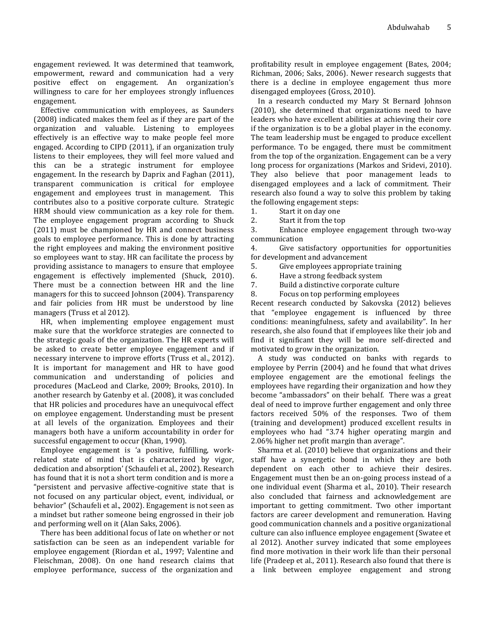engagement reviewed. It was determined that teamwork, empowerment, reward and communication had a very positive effect on engagement. An organization's willingness to care for her employees strongly influences engagement.

Effective communication with employees, as Saunders (2008) indicated makes them feel as if they are part of the organization and valuable. Listening to employees effectively is an effective way to make people feel more engaged. According to CIPD (2011), if an organization truly listens to their employees, they will feel more valued and this can be a strategic instrument for employee engagement. In the research by Daprix and Faghan (2011), transparent communication is critical for employee engagement and employees trust in management. This contributes also to a positive corporate culture. Strategic HRM should view communication as a key role for them. The employee engagement program according to Shuck (2011) must be championed by HR and connect business goals to employee performance. This is done by attracting the right employees and making the environment positive so employees want to stay. HR can facilitate the process by providing assistance to managers to ensure that employee engagement is effectively implemented (Shuck, 2010). There must be a connection between HR and the line managers for this to succeed Johnson (2004). Transparency and fair policies from HR must be understood by line managers (Truss et al 2012).

HR, when implementing employee engagement must make sure that the workforce strategies are connected to the strategic goals of the organization. The HR experts will be asked to create better employee engagement and if necessary intervene to improve efforts (Truss et al., 2012). It is important for management and HR to have good communication and understanding of policies and procedures (MacLeod and Clarke, 2009; Brooks, 2010). In another research by Gatenby et al. (2008), it was concluded that HR policies and procedures have an unequivocal effect on employee engagement. Understanding must be present at all levels of the organization. Employees and their managers both have a uniform accountability in order for successful engagement to occur (Khan, 1990).

Employee engagement is 'a positive, fulfilling, workrelated state of mind that is characterized by vigor, dedication and absorption' (Schaufeli et al., 2002). Research has found that it is not a short term condition and is more a "persistent and pervasive affective-cognitive state that is not focused on any particular object, event, individual, or behavior" (Schaufeli et al., 2002). Engagement is not seen as a mindset but rather someone being engrossed in their job and performing well on it (Alan Saks, 2006).

There has been additional focus of late on whether or not satisfaction can be seen as an independent variable for employee engagement (Riordan et al., 1997; Valentine and Fleischman, 2008). On one hand research claims that employee performance, success of the organization and

profitability result in employee engagement (Bates, 2004; Richman, 2006; Saks, 2006). Newer research suggests that there is a decline in employee engagement thus more disengaged employees (Gross, 2010).

In a research conducted my Mary St Bernard Johnson (2010), she determined that organizations need to have leaders who have excellent abilities at achieving their core if the organization is to be a global player in the economy. The team leadership must be engaged to produce excellent performance. To be engaged, there must be commitment from the top of the organization. Engagement can be a very long process for organizations (Markos and Sridevi, 2010). They also believe that poor management leads to disengaged employees and a lack of commitment. Their research also found a way to solve this problem by taking the following engagement steps:

1. Start it on day one

2. Start it from the top

3. Enhance employee engagement through two-way communication

4. Give satisfactory opportunities for opportunities for development and advancement

5. Give employees appropriate training

6. Have a strong feedback system

- 7. Build a distinctive corporate culture
- 8. Focus on top performing employees

Recent research conducted by Sakovska (2012) believes that "employee engagement is influenced by three conditions: meaningfulness, safety and availability". In her research, she also found that if employees like their job and find it significant they will be more self-directed and motivated to grow in the organization.

A study was conducted on banks with regards to employee by Perrin (2004) and he found that what drives employee engagement are the emotional feelings the employees have regarding their organization and how they become "ambassadors" on their behalf. There was a great deal of need to improve further engagement and only three factors received 50% of the responses. Two of them (training and development) produced excellent results in employees who had "3.74 higher operating margin and 2.06% higher net profit margin than average".

Sharma et al. (2010) believe that organizations and their staff have a synergetic bond in which they are both dependent on each other to achieve their desires. Engagement must then be an on-going process instead of a one individual event (Sharma et al., 2010). Their research also concluded that fairness and acknowledgement are important to getting commitment. Two other important factors are career development and remuneration. Having good communication channels and a positive organizational culture can also influence employee engagement (Swatee et al 2012). Another survey indicated that some employees find more motivation in their work life than their personal life (Pradeep et al., 2011). Research also found that there is a link between employee engagement and strong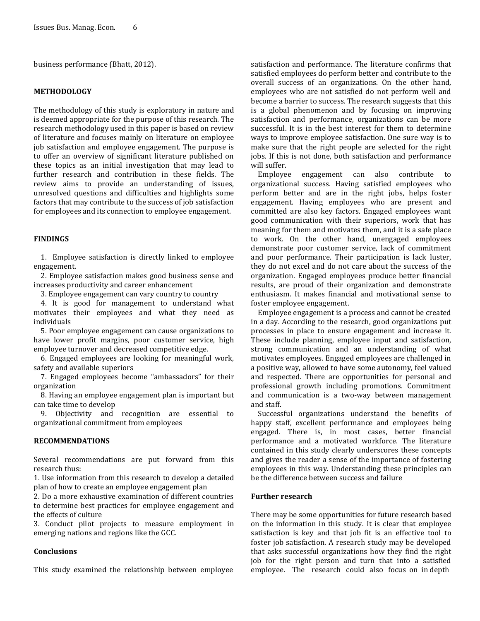business performance (Bhatt, 2012).

### **METHODOLOGY**

The methodology of this study is exploratory in nature and is deemed appropriate for the purpose of this research. The research methodology used in this paper is based on review of literature and focuses mainly on literature on employee job satisfaction and employee engagement. The purpose is to offer an overview of significant literature published on these topics as an initial investigation that may lead to further research and contribution in these fields. The review aims to provide an understanding of issues, unresolved questions and difficulties and highlights some factors that may contribute to the success of job satisfaction for employees and its connection to employee engagement.

### **FINDINGS**

1. Employee satisfaction is directly linked to employee engagement.

2. Employee satisfaction makes good business sense and increases productivity and career enhancement

3. Employee engagement can vary country to country

4. It is good for management to understand what motivates their employees and what they need as individuals

5. Poor employee engagement can cause organizations to have lower profit margins, poor customer service, high employee turnover and decreased competitive edge.

6. Engaged employees are looking for meaningful work, safety and available superiors

7. Engaged employees become "ambassadors" for their organization

8. Having an employee engagement plan is important but can take time to develop

9. Objectivity and recognition are essential to organizational commitment from employees

# **RECOMMENDATIONS**

Several recommendations are put forward from this research thus:

1. Use information from this research to develop a detailed plan of how to create an employee engagement plan

2. Do a more exhaustive examination of different countries to determine best practices for employee engagement and the effects of culture

3. Conduct pilot projects to measure employment in emerging nations and regions like the GCC.

### **Conclusions**

This study examined the relationship between employee

satisfaction and performance. The literature confirms that satisfied employees do perform better and contribute to the overall success of an organizations. On the other hand, employees who are not satisfied do not perform well and become a barrier to success. The research suggests that this is a global phenomenon and by focusing on improving satisfaction and performance, organizations can be more successful. It is in the best interest for them to determine ways to improve employee satisfaction. One sure way is to make sure that the right people are selected for the right jobs. If this is not done, both satisfaction and performance will suffer.

Employee engagement can also contribute to organizational success. Having satisfied employees who perform better and are in the right jobs, helps foster engagement. Having employees who are present and committed are also key factors. Engaged employees want good communication with their superiors, work that has meaning for them and motivates them, and it is a safe place to work. On the other hand, unengaged employees demonstrate poor customer service, lack of commitment and poor performance. Their participation is lack luster, they do not excel and do not care about the success of the organization. Engaged employees produce better financial results, are proud of their organization and demonstrate enthusiasm. It makes financial and motivational sense to foster employee engagement.

Employee engagement is a process and cannot be created in a day. According to the research, good organizations put processes in place to ensure engagement and increase it. These include planning, employee input and satisfaction, strong communication and an understanding of what motivates employees. Engaged employees are challenged in a positive way, allowed to have some autonomy, feel valued and respected. There are opportunities for personal and professional growth including promotions. Commitment and communication is a two-way between management and staff.

Successful organizations understand the benefits of happy staff, excellent performance and employees being engaged. There is, in most cases, better financial performance and a motivated workforce. The literature contained in this study clearly underscores these concepts and gives the reader a sense of the importance of fostering employees in this way. Understanding these principles can be the difference between success and failure

## **Further research**

There may be some opportunities for future research based on the information in this study. It is clear that employee satisfaction is key and that job fit is an effective tool to foster job satisfaction. A research study may be developed that asks successful organizations how they find the right job for the right person and turn that into a satisfied employee. The research could also focus on in depth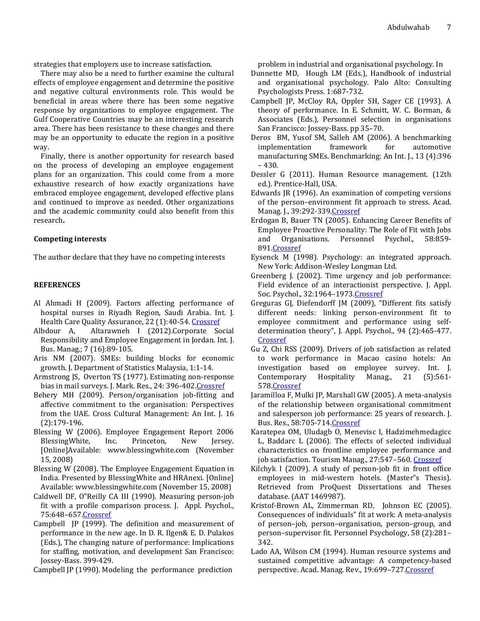strategies that employers use to increase satisfaction.

There may also be a need to further examine the cultural effects of employee engagement and determine the positive and negative cultural environments role. This would be beneficial in areas where there has been some negative response by organizations to employee engagement. The Gulf Cooperative Countries may be an interesting research area. There has been resistance to these changes and there may be an opportunity to educate the region in a positive way.

Finally, there is another opportunity for research based on the process of developing an employee engagement plans for an organization. This could come from a more exhaustive research of how exactly organizations have embraced employee engagement, developed effective plans and continued to improve as needed. Other organizations and the academic community could also benefit from this research**.**

#### **Competing interests**

The author declare that they have no competing interests

#### **REFERENCES**

- Al Ahmadi H (2009). Factors affecting performance of hospital nurses in Riyadh Region, Saudi Arabia. Int. J. Health Care Quality Assurance, 22 (1):40-54. [Crossref](http://dx.doi.org/10.1108/09526860910927943)
- Albdour A, Altarawneh I (2012).Corporate Social Responsibility and Employee Engagement in Jordan. Int. J. Bus. Manag.; 7 (16):89-105.
- Aris NM (2007). SMEs: building blocks for economic growth. J. Department of Statistics Malaysia, 1:1-14.
- Armstrong JS, Overton TS (1977). Estimating non-response bias in mail surveys. J. Mark. Res., 24: 396-402. Crossref
- Behery MH (2009). Person/organisation job-fitting and affective commitment to the organisation: Perspectives from the UAE. Cross Cultural Management: An Int. J. 16 (2):179-196.
- Blessing W (2006). Employee Engagement Report 2006 BlessingWhite, Inc. Princeton, New Jersey. [Online]Available: www.blessingwhite.com (November 15, 2008)
- Blessing W (2008). The Employee Engagement Equation in India. Presented by BlessingWhite and HRAnexi. [Online] Available: www.blessingwhite.com (November 15, 2008)
- Caldwell DF, O"Reilly CA III (1990). Measuring person-job fit with a profile comparison process. J. Appl. Psychol., 75:648–65[7.Crossref](http://dx.doi.org/10.1037/0021-9010.75.6.648)
- Campbell JP (1999). The definition and measurement of performance in the new age. In D. R. Ilgen& E. D. Pulakos (Eds.), The changing nature of performance: Implications for staffing, motivation, and development San Francisco: Jossey-Bass. 399-429.

Campbell JP (1990). Modeling the performance prediction

problem in industrial and organisational psychology. In

- Dunnette MD, Hough LM (Eds.), Handbook of industrial and organisational psychology. Palo Alto: Consulting Psychologists Press. 1:687-732.
- Campbell JP, McCloy RA, Oppler SH, Sager CE (1993). A theory of performance. In E. Schmitt, W. C. Borman, & Associates (Eds.), Personnel selection in organisations San Francisco: Jossey-Bass. pp 35–70.
- Deros BM, Yusof SM, Salleh AM (2006). A benchmarking implementation framework for automotive manufacturing SMEs. Benchmarking: An Int. J., 13 (4):396 – 430.
- Dessler G (2011). Human Resource management. (12th ed.). Prentice-Hall, USA.
- Edwards JR (1996). An examination of competing versions of the person–environment fit approach to stress. Acad. Manag. J., 39:292-339[.Crossref](http://dx.doi.org/10.2307/256782)
- Erdogan B, Bauer TN (2005). Enhancing Career Benefits of Employee Proactive Personality: The Role of Fit with Jobs and Organisations. Personnel Psychol., 58:859- 89[1.Crossref](http://dx.doi.org/10.1111/j.1744-6570.2005.00772.x)
- Eysenck M (1998). Psychology: an integrated approach. New York: Addison-Wesley Longman Ltd.
- Greenberg J. (2002). Time urgency and job performance: Field evidence of an interactionist perspective. J. Appl. Soc. Psychol., 32:1964–197[3.Crossref](http://dx.doi.org/10.1111/j.1559-1816.2002.tb00267.x)
- Greguras GJ, Diefendorff JM (2009), "Different fits satisfy different needs: linking person-environment fit to employee commitment and performance using selfdetermination theory", J. Appl. Psychol., 94 (2):465-477. **[Crossref](http://dx.doi.org/10.1037/a0014068)**
- Gu Z, Chi RSS (2009). Drivers of job satisfaction as related to work performance in Macao casino hotels: An investigation based on employee survey. Int. J. Contemporary Hospitality Manag., 21 (5):561- 57[8.Crossref](http://dx.doi.org/10.1108/09596110910967809)
- Jaramilloa F, Mulki JP, Marshall GW (2005). A meta-analysis of the relationship between organisational commitment and salesperson job performance: 25 years of research. J. Bus. Res., 58:705-71[4.Crossref](http://dx.doi.org/10.1016/j.jbusres.2003.10.004)
- Karatepea OM, Uludagb O, Menevisc I, Hadzimehmedagicc L, Baddarc L (2006). The effects of selected individual characteristics on frontline employee performance and job satisfaction. Tourism Manag., 27:547–560[. Crossref](http://dx.doi.org/10.1016/j.tourman.2005.02.009)
- Kilchyk I (2009). A study of person-job fit in front office employees in mid-western hotels. (Master"s Thesis). Retrieved from ProQuest Dissertations and Theses database. (AAT 1469987).
- Kristof-Brown AL, Zimmerman RD, Johnson EC (2005). Consequences of individuals" fit at work: A meta-analysis of person–job, person–organisation, person–group, and person–supervisor fit. Personnel Psychology, 58 (2):281– 342.
- Lado AA, Wilson CM (1994). Human resource systems and sustained competitive advantage: A competency-based perspective. Acad. Manag. Rev., 19:699-727. Crossref